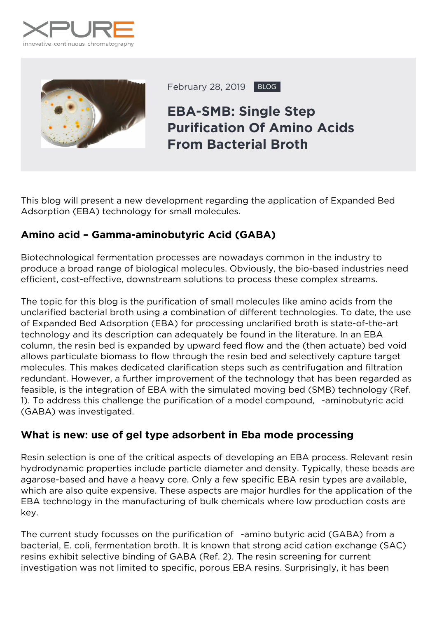



February 28, 2019 BLOG

# **EBA-SMB: Single Step Purification Of Amino Acids From Bacterial Broth**

This blog will present a new development regarding the application of Expanded Bed Adsorption (EBA) technology for small molecules.

## **Amino acid – Gamma-aminobutyric Acid (GABA)**

Biotechnological fermentation processes are nowadays common in the industry to produce a broad range of biological molecules. Obviously, the bio-based industries need efficient, cost-effective, downstream solutions to process these complex streams.

The topic for this blog is the purification of small molecules like amino acids from the unclarified bacterial broth using a combination of different technologies. To date, the use of Expanded Bed Adsorption (EBA) for processing unclarified broth is state-of-the-art technology and its description can adequately be found in the literature. In an EBA column, the resin bed is expanded by upward feed flow and the (then actuate) bed void allows particulate biomass to flow through the resin bed and selectively capture target molecules. This makes dedicated clarification steps such as centrifugation and filtration redundant. However, a further improvement of the technology that has been regarded as feasible, is the integration of EBA with the simulated moving bed (SMB) technology (Ref. 1). To address this challenge the purification of a model compound, -aminobutyric acid (GABA) was investigated.

## **What is new: use of gel type adsorbent in Eba mode processing**

Resin selection is one of the critical aspects of developing an EBA process. Relevant resin hydrodynamic properties include particle diameter and density. Typically, these beads are agarose-based and have a heavy core. Only a few specific EBA resin types are available, which are also quite expensive. These aspects are major hurdles for the application of the EBA technology in the manufacturing of bulk chemicals where low production costs are key.

The current study focusses on the purification of -amino butyric acid (GABA) from a bacterial, *E. coli*, fermentation broth. It is known that strong acid cation exchange (SAC) resins exhibit selective binding of GABA (Ref. 2). The resin screening for current investigation was not limited to specific, porous EBA resins. Surprisingly, it has been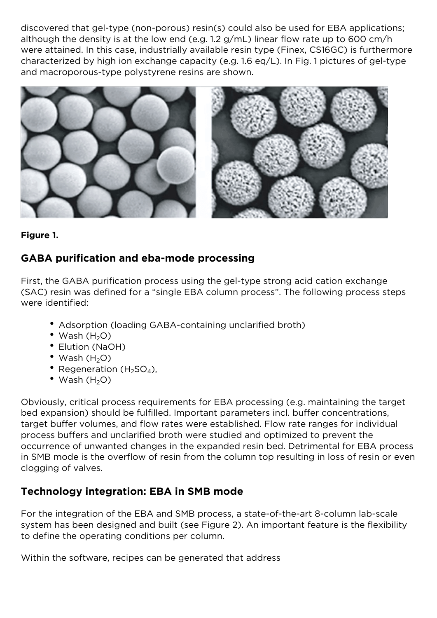discovered that gel-type (non-porous) resin(s) could also be used for EBA applications; although the density is at the low end (e.g. 1.2 g/mL) linear flow rate up to 600 cm/h were attained. In this case, industrially available resin type (Finex, CS16GC) is furthermore characterized by high ion exchange capacity (e.g. 1.6 eq/L). In Fig. 1 pictures of gel-type and macroporous-type polystyrene resins are shown.



*Figure 1.*

#### **GABA purification and eba-mode processing**

First, the GABA purification process using the gel-type strong acid cation exchange (SAC) resin was defined for a "single EBA column process". The following process steps were identified:

- Adsorption (loading GABA-containing unclarified broth)
- Wash  $(H<sub>2</sub>O)$
- Elution (NaOH)
- Wash  $(H<sub>2</sub>O)$
- Regeneration ( $H_2SO_4$ ),
- Wash  $(H<sub>2</sub>O)$

Obviously, critical process requirements for EBA processing (e.g. maintaining the target bed expansion) should be fulfilled. Important parameters incl. buffer concentrations, target buffer volumes, and flow rates were established. Flow rate ranges for individual process buffers and unclarified broth were studied and optimized to prevent the occurrence of unwanted changes in the expanded resin bed. Detrimental for EBA process in SMB mode is the overflow of resin from the column top resulting in loss of resin or even clogging of valves.

## **Technology integration: EBA in SMB mode**

For the integration of the EBA and SMB process, a state-of-the-art 8-column lab-scale system has been designed and built (see Figure 2). An important feature is the flexibility to define the operating conditions per column.

Within the software, recipes can be generated that address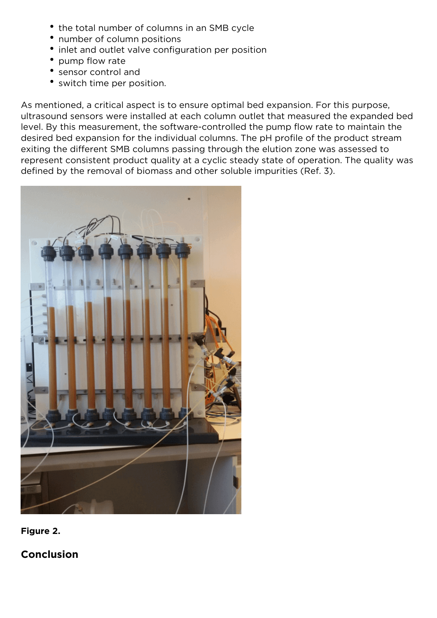- the total number of columns in an SMB cycle
- number of column positions
- inlet and outlet valve configuration per position
- pump flow rate
- sensor control and
- switch time per position.

As mentioned, a critical aspect is to ensure optimal bed expansion. For this purpose, ultrasound sensors were installed at each column outlet that measured the expanded bed level. By this measurement, the software-controlled the pump flow rate to maintain the desired bed expansion for the individual columns. The pH profile of the product stream exiting the different SMB columns passing through the elution zone was assessed to represent consistent product quality at a cyclic steady state of operation. The quality was defined by the removal of biomass and other soluble impurities (Ref. 3).



*Figure 2.*

**Conclusion**